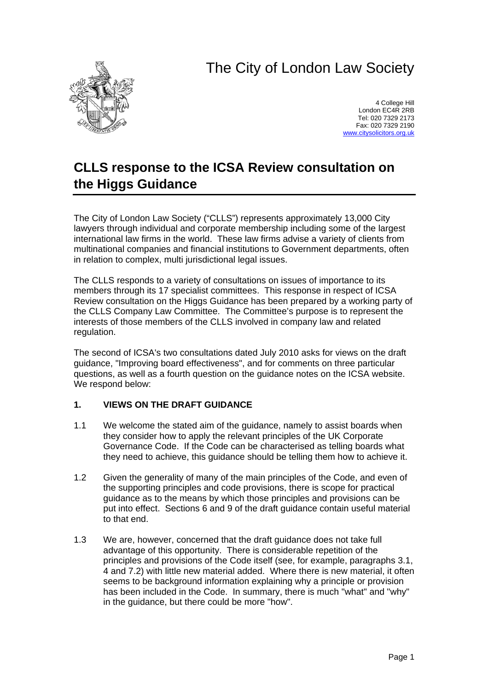# The City of London Law Society



4 College Hill London EC4R 2RB Tel: 020 7329 2173 Fax: 020 7329 2190 [www.citysolicitors.org.uk](http://www.citysolicitors.org.uk/)

## **CLLS response to the ICSA Review consultation on the Higgs Guidance**

The City of London Law Society ("CLLS") represents approximately 13,000 City lawyers through individual and corporate membership including some of the largest international law firms in the world. These law firms advise a variety of clients from multinational companies and financial institutions to Government departments, often in relation to complex, multi jurisdictional legal issues.

The CLLS responds to a variety of consultations on issues of importance to its members through its 17 specialist committees. This response in respect of ICSA Review consultation on the Higgs Guidance has been prepared by a working party of the CLLS Company Law Committee. The Committee's purpose is to represent the interests of those members of the CLLS involved in company law and related regulation.

The second of ICSA's two consultations dated July 2010 asks for views on the draft guidance, "Improving board effectiveness", and for comments on three particular questions, as well as a fourth question on the guidance notes on the ICSA website. We respond below:

### **1. VIEWS ON THE DRAFT GUIDANCE**

- 1.1 We welcome the stated aim of the guidance, namely to assist boards when they consider how to apply the relevant principles of the UK Corporate Governance Code. If the Code can be characterised as telling boards what they need to achieve, this guidance should be telling them how to achieve it.
- 1.2 Given the generality of many of the main principles of the Code, and even of the supporting principles and code provisions, there is scope for practical guidance as to the means by which those principles and provisions can be put into effect. Sections 6 and 9 of the draft guidance contain useful material to that end.
- 1.3 We are, however, concerned that the draft guidance does not take full advantage of this opportunity. There is considerable repetition of the principles and provisions of the Code itself (see, for example, paragraphs 3.1, 4 and 7.2) with little new material added. Where there is new material, it often seems to be background information explaining why a principle or provision has been included in the Code. In summary, there is much "what" and "why" in the guidance, but there could be more "how".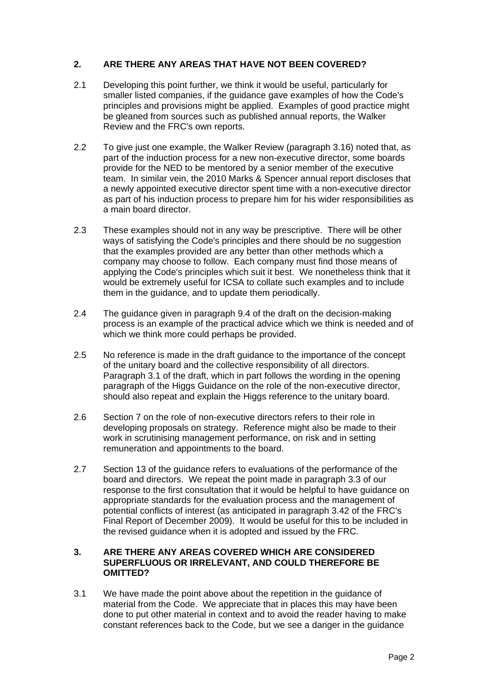#### **2. ARE THERE ANY AREAS THAT HAVE NOT BEEN COVERED?**

- 2.1 Developing this point further, we think it would be useful, particularly for smaller listed companies, if the guidance gave examples of how the Code's principles and provisions might be applied. Examples of good practice might be gleaned from sources such as published annual reports, the Walker Review and the FRC's own reports.
- 2.2 To give just one example, the Walker Review (paragraph 3.16) noted that, as part of the induction process for a new non-executive director, some boards provide for the NED to be mentored by a senior member of the executive team. In similar vein, the 2010 Marks & Spencer annual report discloses that a newly appointed executive director spent time with a non-executive director as part of his induction process to prepare him for his wider responsibilities as a main board director.
- 2.3 These examples should not in any way be prescriptive. There will be other ways of satisfying the Code's principles and there should be no suggestion that the examples provided are any better than other methods which a company may choose to follow. Each company must find those means of applying the Code's principles which suit it best. We nonetheless think that it would be extremely useful for ICSA to collate such examples and to include them in the guidance, and to update them periodically.
- 2.4 The guidance given in paragraph 9.4 of the draft on the decision-making process is an example of the practical advice which we think is needed and of which we think more could perhaps be provided.
- 2.5 No reference is made in the draft guidance to the importance of the concept of the unitary board and the collective responsibility of all directors. Paragraph 3.1 of the draft, which in part follows the wording in the opening paragraph of the Higgs Guidance on the role of the non-executive director, should also repeat and explain the Higgs reference to the unitary board.
- 2.6 Section 7 on the role of non-executive directors refers to their role in developing proposals on strategy. Reference might also be made to their work in scrutinising management performance, on risk and in setting remuneration and appointments to the board.
- 2.7 Section 13 of the guidance refers to evaluations of the performance of the board and directors. We repeat the point made in paragraph 3.3 of our response to the first consultation that it would be helpful to have guidance on appropriate standards for the evaluation process and the management of potential conflicts of interest (as anticipated in paragraph 3.42 of the FRC's Final Report of December 2009). It would be useful for this to be included in the revised guidance when it is adopted and issued by the FRC.

#### **3. ARE THERE ANY AREAS COVERED WHICH ARE CONSIDERED SUPERFLUOUS OR IRRELEVANT, AND COULD THEREFORE BE OMITTED?**

3.1 We have made the point above about the repetition in the guidance of material from the Code. We appreciate that in places this may have been done to put other material in context and to avoid the reader having to make constant references back to the Code, but we see a danger in the guidance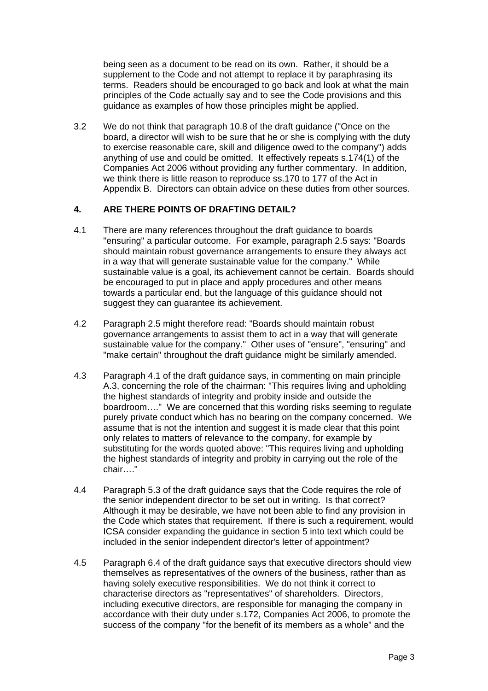being seen as a document to be read on its own. Rather, it should be a supplement to the Code and not attempt to replace it by paraphrasing its terms. Readers should be encouraged to go back and look at what the main principles of the Code actually say and to see the Code provisions and this guidance as examples of how those principles might be applied.

3.2 We do not think that paragraph 10.8 of the draft guidance ("Once on the board, a director will wish to be sure that he or she is complying with the duty to exercise reasonable care, skill and diligence owed to the company") adds anything of use and could be omitted. It effectively repeats s.174(1) of the Companies Act 2006 without providing any further commentary. In addition, we think there is little reason to reproduce ss.170 to 177 of the Act in Appendix B. Directors can obtain advice on these duties from other sources.

#### **4. ARE THERE POINTS OF DRAFTING DETAIL?**

- 4.1 There are many references throughout the draft guidance to boards "ensuring" a particular outcome. For example, paragraph 2.5 says: "Boards should maintain robust governance arrangements to ensure they always act in a way that will generate sustainable value for the company." While sustainable value is a goal, its achievement cannot be certain. Boards should be encouraged to put in place and apply procedures and other means towards a particular end, but the language of this guidance should not suggest they can guarantee its achievement.
- 4.2 Paragraph 2.5 might therefore read: "Boards should maintain robust governance arrangements to assist them to act in a way that will generate sustainable value for the company." Other uses of "ensure", "ensuring" and "make certain" throughout the draft guidance might be similarly amended.
- 4.3 Paragraph 4.1 of the draft guidance says, in commenting on main principle A.3, concerning the role of the chairman: "This requires living and upholding the highest standards of integrity and probity inside and outside the boardroom…." We are concerned that this wording risks seeming to regulate purely private conduct which has no bearing on the company concerned. We assume that is not the intention and suggest it is made clear that this point only relates to matters of relevance to the company, for example by substituting for the words quoted above: "This requires living and upholding the highest standards of integrity and probity in carrying out the role of the chair…."
- 4.4 Paragraph 5.3 of the draft guidance says that the Code requires the role of the senior independent director to be set out in writing. Is that correct? Although it may be desirable, we have not been able to find any provision in the Code which states that requirement. If there is such a requirement, would ICSA consider expanding the guidance in section 5 into text which could be included in the senior independent director's letter of appointment?
- 4.5 Paragraph 6.4 of the draft guidance says that executive directors should view themselves as representatives of the owners of the business, rather than as having solely executive responsibilities. We do not think it correct to characterise directors as "representatives" of shareholders. Directors, including executive directors, are responsible for managing the company in accordance with their duty under s.172, Companies Act 2006, to promote the success of the company "for the benefit of its members as a whole" and the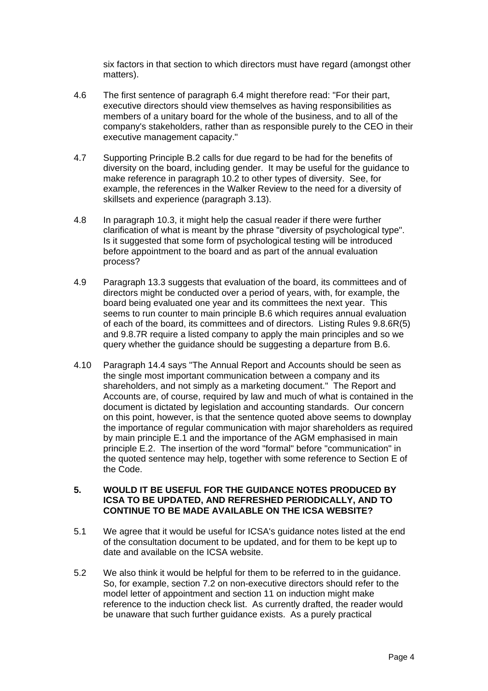six factors in that section to which directors must have regard (amongst other matters).

- 4.6 The first sentence of paragraph 6.4 might therefore read: "For their part, executive directors should view themselves as having responsibilities as members of a unitary board for the whole of the business, and to all of the company's stakeholders, rather than as responsible purely to the CEO in their executive management capacity."
- 4.7 Supporting Principle B.2 calls for due regard to be had for the benefits of diversity on the board, including gender. It may be useful for the guidance to make reference in paragraph 10.2 to other types of diversity. See, for example, the references in the Walker Review to the need for a diversity of skillsets and experience (paragraph 3.13).
- 4.8 In paragraph 10.3, it might help the casual reader if there were further clarification of what is meant by the phrase "diversity of psychological type". Is it suggested that some form of psychological testing will be introduced before appointment to the board and as part of the annual evaluation process?
- 4.9 Paragraph 13.3 suggests that evaluation of the board, its committees and of directors might be conducted over a period of years, with, for example, the board being evaluated one year and its committees the next year. This seems to run counter to main principle B.6 which requires annual evaluation of each of the board, its committees and of directors. Listing Rules 9.8.6R(5) and 9.8.7R require a listed company to apply the main principles and so we query whether the guidance should be suggesting a departure from B.6.
- 4.10 Paragraph 14.4 says "The Annual Report and Accounts should be seen as the single most important communication between a company and its shareholders, and not simply as a marketing document." The Report and Accounts are, of course, required by law and much of what is contained in the document is dictated by legislation and accounting standards. Our concern on this point, however, is that the sentence quoted above seems to downplay the importance of regular communication with major shareholders as required by main principle E.1 and the importance of the AGM emphasised in main principle E.2. The insertion of the word "formal" before "communication" in the quoted sentence may help, together with some reference to Section E of the Code.

#### **5. WOULD IT BE USEFUL FOR THE GUIDANCE NOTES PRODUCED BY ICSA TO BE UPDATED, AND REFRESHED PERIODICALLY, AND TO CONTINUE TO BE MADE AVAILABLE ON THE ICSA WEBSITE?**

- 5.1 We agree that it would be useful for ICSA's guidance notes listed at the end of the consultation document to be updated, and for them to be kept up to date and available on the ICSA website.
- 5.2 We also think it would be helpful for them to be referred to in the guidance. So, for example, section 7.2 on non-executive directors should refer to the model letter of appointment and section 11 on induction might make reference to the induction check list. As currently drafted, the reader would be unaware that such further guidance exists. As a purely practical